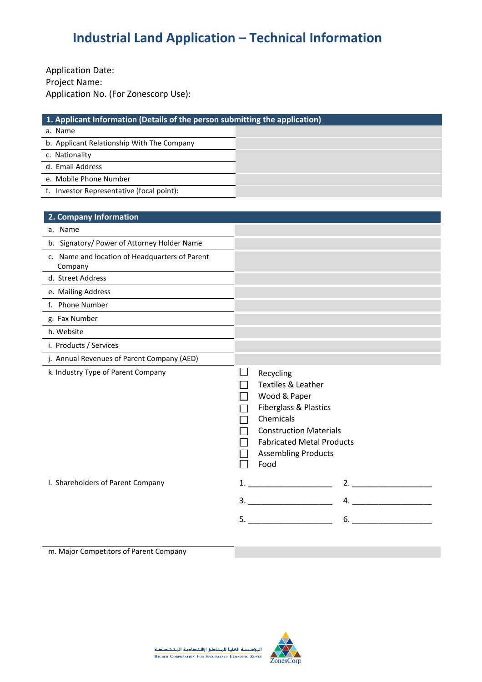Application Date: Project Name: Application No. (For Zonescorp Use):

| 1. Applicant Information (Details of the person submitting the application) |  |  |  |  |
|-----------------------------------------------------------------------------|--|--|--|--|
| a. Name                                                                     |  |  |  |  |
| b. Applicant Relationship With The Company                                  |  |  |  |  |
| c. Nationality                                                              |  |  |  |  |
| d. Email Address                                                            |  |  |  |  |
| e. Mobile Phone Number                                                      |  |  |  |  |
| Investor Representative (focal point):                                      |  |  |  |  |

| 2. Company Information                                                                                     |                                                                                                                                                                                                             |
|------------------------------------------------------------------------------------------------------------|-------------------------------------------------------------------------------------------------------------------------------------------------------------------------------------------------------------|
| a. Name                                                                                                    |                                                                                                                                                                                                             |
| b. Signatory/ Power of Attorney Holder Name                                                                |                                                                                                                                                                                                             |
| c. Name and location of Headquarters of Parent<br>Company<br><u> 1989 - Johann Stoff, fransk politik (</u> |                                                                                                                                                                                                             |
| d. Street Address                                                                                          |                                                                                                                                                                                                             |
| e. Mailing Address                                                                                         |                                                                                                                                                                                                             |
| f. Phone Number                                                                                            |                                                                                                                                                                                                             |
| g. Fax Number                                                                                              |                                                                                                                                                                                                             |
| h. Website                                                                                                 |                                                                                                                                                                                                             |
| i. Products / Services                                                                                     |                                                                                                                                                                                                             |
| j. Annual Revenues of Parent Company (AED)                                                                 |                                                                                                                                                                                                             |
| k. Industry Type of Parent Company                                                                         | Recycling<br>Textiles & Leather<br>Wood & Paper<br><b>Fiberglass &amp; Plastics</b><br>Chemicals<br><b>Construction Materials</b><br><b>Fabricated Metal Products</b><br><b>Assembling Products</b><br>Food |
| I. Shareholders of Parent Company                                                                          | $1.$ $\qquad \qquad$<br>2.                                                                                                                                                                                  |
|                                                                                                            |                                                                                                                                                                                                             |
|                                                                                                            | 5.<br>6.                                                                                                                                                                                                    |
|                                                                                                            |                                                                                                                                                                                                             |

m. Major Competitors of Parent Company

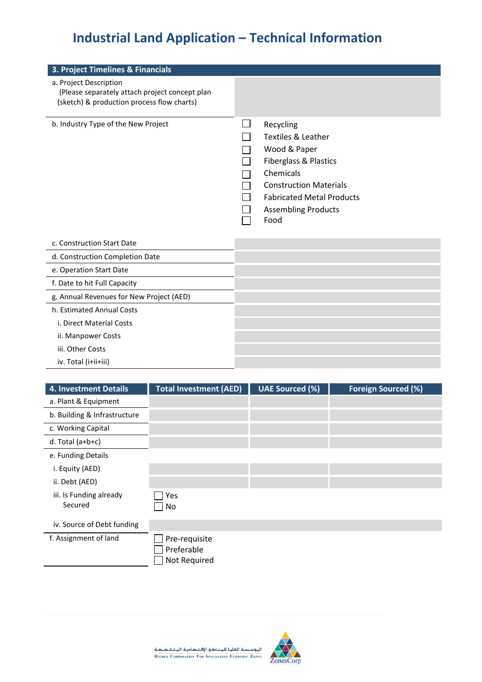| 3. Project Timelines & Financials                                                                                      |                                                                                                                                                                                                             |
|------------------------------------------------------------------------------------------------------------------------|-------------------------------------------------------------------------------------------------------------------------------------------------------------------------------------------------------------|
| a. Project Description<br>(Please separately attach project concept plan<br>(sketch) & production process flow charts) |                                                                                                                                                                                                             |
| b. Industry Type of the New Project                                                                                    | Recycling<br><b>Textiles &amp; Leather</b><br>Wood & Paper<br>Fiberglass & Plastics<br>Chemicals<br><b>Construction Materials</b><br><b>Fabricated Metal Products</b><br><b>Assembling Products</b><br>Food |
| c. Construction Start Date                                                                                             |                                                                                                                                                                                                             |
| d. Construction Completion Date                                                                                        |                                                                                                                                                                                                             |
| e. Operation Start Date                                                                                                |                                                                                                                                                                                                             |
| f. Date to hit Full Capacity                                                                                           |                                                                                                                                                                                                             |
| g. Annual Revenues for New Project (AED)                                                                               |                                                                                                                                                                                                             |
| h. Estimated Annual Costs                                                                                              |                                                                                                                                                                                                             |
| i. Direct Material Costs                                                                                               |                                                                                                                                                                                                             |

- ii. Manpower Costs
- iii. Other Costs
- iv. Total (i+ii+iii)

| <b>4. Investment Details</b>       | <b>Total Investment (AED)</b>               | <b>UAE Sourced (%)</b> | <b>Foreign Sourced (%)</b> |
|------------------------------------|---------------------------------------------|------------------------|----------------------------|
| a. Plant & Equipment               |                                             |                        |                            |
| b. Building & Infrastructure       |                                             |                        |                            |
| c. Working Capital                 |                                             |                        |                            |
| d. Total $(a+b+c)$                 |                                             |                        |                            |
| e. Funding Details                 |                                             |                        |                            |
| i. Equity (AED)                    |                                             |                        |                            |
| ii. Debt (AED)                     |                                             |                        |                            |
| iii. Is Funding already<br>Secured | Yes<br>No                                   |                        |                            |
| iv. Source of Debt funding         |                                             |                        |                            |
| f. Assignment of land              | Pre-requisite<br>Preferable<br>Not Required |                        |                            |

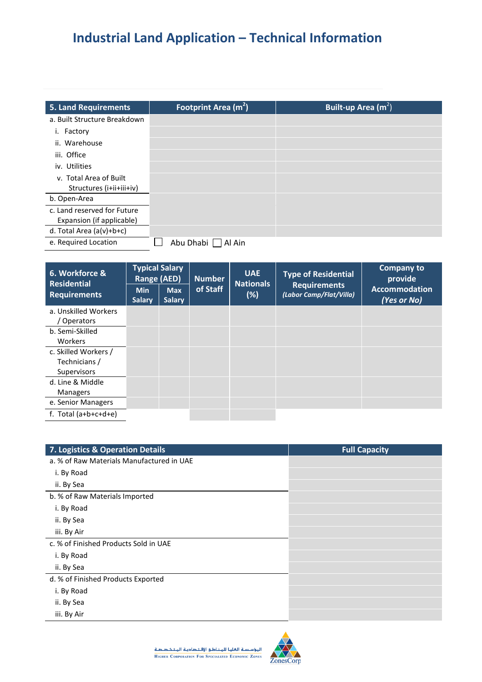| <b>5. Land Requirements</b>  | Footprint Area $(m2)$ | Built-up Area $(m^2)$ |
|------------------------------|-----------------------|-----------------------|
| a. Built Structure Breakdown |                       |                       |
| Factory<br>۱.                |                       |                       |
| ii. Warehouse                |                       |                       |
| iii. Office                  |                       |                       |
| iv. Utilities                |                       |                       |
| v. Total Area of Built       |                       |                       |
| Structures (i+ii+iii+iv)     |                       |                       |
| b. Open-Area                 |                       |                       |
| c. Land reserved for Future  |                       |                       |
| Expansion (if applicable)    |                       |                       |
| d. Total Area (a(v)+b+c)     |                       |                       |
| e. Required Location         | Abu Dhabi<br>Al Ain   |                       |

| 6. Workforce &<br><b>Residential</b>                 | <b>Typical Salary</b><br>Range (AED) |                             | <b>Number</b> | <b>UAE</b><br><b>Nationals</b> | <b>Type of Residential</b>                     | Company to<br>provide               |
|------------------------------------------------------|--------------------------------------|-----------------------------|---------------|--------------------------------|------------------------------------------------|-------------------------------------|
| <b>Requirements</b>                                  | <b>Min</b><br><b>Salary</b>          | <b>Max</b><br><b>Salary</b> | of Staff      | $(\%)$                         | <b>Requirements</b><br>(Labor Camp/Flat/Villa) | <b>Accommodation</b><br>(Yes or No) |
| a. Unskilled Workers<br>Operators                    |                                      |                             |               |                                |                                                |                                     |
| b. Semi-Skilled<br>Workers                           |                                      |                             |               |                                |                                                |                                     |
| c. Skilled Workers /<br>Technicians /<br>Supervisors |                                      |                             |               |                                |                                                |                                     |
| d. Line & Middle<br><b>Managers</b>                  |                                      |                             |               |                                |                                                |                                     |
| e. Senior Managers                                   |                                      |                             |               |                                |                                                |                                     |
| f. Total $(a+b+c+d+e)$                               |                                      |                             |               |                                |                                                |                                     |

| 7. Logistics & Operation Details          | <b>Full Capacity</b> |
|-------------------------------------------|----------------------|
| a. % of Raw Materials Manufactured in UAE |                      |
| i. By Road                                |                      |
| ii. By Sea                                |                      |
| b. % of Raw Materials Imported            |                      |
| i. By Road                                |                      |
| ii. By Sea                                |                      |
| iii. By Air                               |                      |
| c. % of Finished Products Sold in UAE     |                      |
| i. By Road                                |                      |
| ii. By Sea                                |                      |
| d. % of Finished Products Exported        |                      |
| i. By Road                                |                      |
| ii. By Sea                                |                      |
| iii. By Air                               |                      |



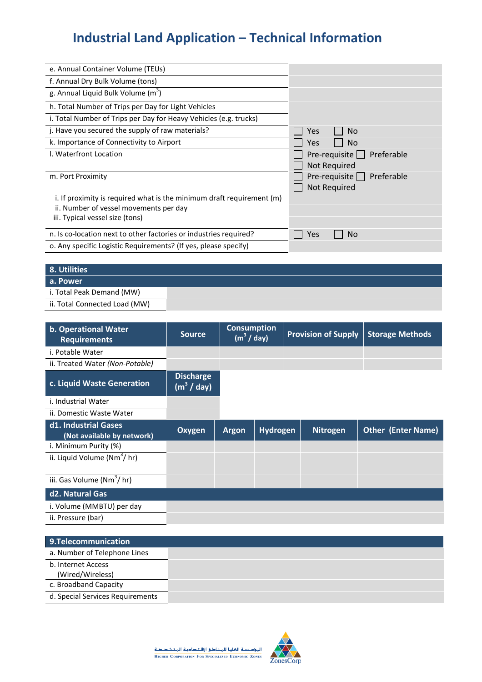| e. Annual Container Volume (TEUs)                                     |                          |
|-----------------------------------------------------------------------|--------------------------|
| f. Annual Dry Bulk Volume (tons)                                      |                          |
| g. Annual Liquid Bulk Volume $(m^3)$                                  |                          |
| h. Total Number of Trips per Day for Light Vehicles                   |                          |
| i. Total Number of Trips per Day for Heavy Vehicles (e.g. trucks)     |                          |
| j. Have you secured the supply of raw materials?                      | No.<br>Yes               |
| k. Importance of Connectivity to Airport                              | N <sub>o</sub><br>Yes    |
| I. Waterfront Location                                                | Pre-requisite Preferable |
|                                                                       | Not Required             |
| m. Port Proximity                                                     | Pre-requisite Preferable |
|                                                                       | Not Required             |
| i. If proximity is required what is the minimum draft requirement (m) |                          |
| ii. Number of vessel movements per day                                |                          |
| iii. Typical vessel size (tons)                                       |                          |
| n. Is co-location next to other factories or industries required?     | No.<br>Yes               |
| o. Any specific Logistic Requirements? (If yes, please specify)       |                          |

| 8. Utilities                  |  |
|-------------------------------|--|
| a. Power                      |  |
| i. Total Peak Demand (MW)     |  |
| ii. Total Connected Load (MW) |  |

| b. Operational Water<br><b>Requirements</b>        | <b>Source</b>                              | <b>Consumption</b><br>(m <sup>3</sup> / day) |          | <b>Provision of Supply</b> |                 | <b>Storage Methods</b>    |
|----------------------------------------------------|--------------------------------------------|----------------------------------------------|----------|----------------------------|-----------------|---------------------------|
| i. Potable Water                                   |                                            |                                              |          |                            |                 |                           |
| ii. Treated Water (Non-Potable)                    |                                            |                                              |          |                            |                 |                           |
| c. Liquid Waste Generation                         | <b>Discharge</b><br>(m <sup>3</sup> / day) |                                              |          |                            |                 |                           |
| i. Industrial Water                                |                                            |                                              |          |                            |                 |                           |
| ii. Domestic Waste Water                           |                                            |                                              |          |                            |                 |                           |
| d1. Industrial Gases<br>(Not available by network) | <b>Oxygen</b>                              | <b>Argon</b>                                 | Hydrogen |                            | <b>Nitrogen</b> | <b>Other (Enter Name)</b> |
| i. Minimum Purity (%)                              |                                            |                                              |          |                            |                 |                           |
| ii. Liquid Volume (Nm <sup>3</sup> /hr)            |                                            |                                              |          |                            |                 |                           |
| iii. Gas Volume (Nm <sup>3</sup> /hr)              |                                            |                                              |          |                            |                 |                           |
| d2. Natural Gas                                    |                                            |                                              |          |                            |                 |                           |
| i. Volume (MMBTU) per day                          |                                            |                                              |          |                            |                 |                           |
| ii. Pressure (bar)                                 |                                            |                                              |          |                            |                 |                           |

| 9.Telecommunication                    |
|----------------------------------------|
| a. Number of Telephone Lines           |
| b. Internet Access<br>(Wired/Wireless) |
| c. Broadband Capacity                  |
| d. Special Services Requirements       |

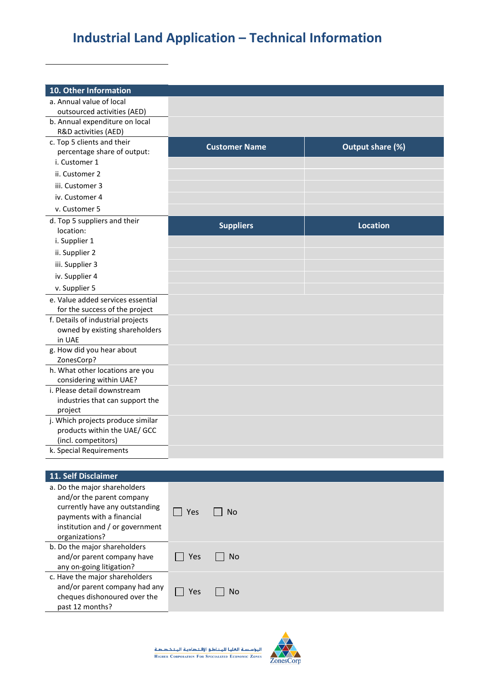| 10. Other Information                                      |                         |                      |                  |  |
|------------------------------------------------------------|-------------------------|----------------------|------------------|--|
| a. Annual value of local                                   |                         |                      |                  |  |
| outsourced activities (AED)                                |                         |                      |                  |  |
| b. Annual expenditure on local                             |                         |                      |                  |  |
| R&D activities (AED)                                       |                         |                      |                  |  |
| c. Top 5 clients and their                                 |                         | <b>Customer Name</b> | Output share (%) |  |
| percentage share of output:                                |                         |                      |                  |  |
| i. Customer 1                                              |                         |                      |                  |  |
| ii. Customer 2                                             |                         |                      |                  |  |
| iii. Customer 3                                            |                         |                      |                  |  |
| iv. Customer 4                                             |                         |                      |                  |  |
| v. Customer 5                                              |                         |                      |                  |  |
| d. Top 5 suppliers and their                               |                         |                      |                  |  |
| location:                                                  |                         | <b>Suppliers</b>     | <b>Location</b>  |  |
| i. Supplier 1                                              |                         |                      |                  |  |
| ii. Supplier 2                                             |                         |                      |                  |  |
| iii. Supplier 3                                            |                         |                      |                  |  |
| iv. Supplier 4                                             |                         |                      |                  |  |
| v. Supplier 5                                              |                         |                      |                  |  |
| e. Value added services essential                          |                         |                      |                  |  |
| for the success of the project                             |                         |                      |                  |  |
| f. Details of industrial projects                          |                         |                      |                  |  |
| owned by existing shareholders                             |                         |                      |                  |  |
| in UAE                                                     |                         |                      |                  |  |
| g. How did you hear about                                  |                         |                      |                  |  |
| ZonesCorp?                                                 |                         |                      |                  |  |
| h. What other locations are you<br>considering within UAE? |                         |                      |                  |  |
| i. Please detail downstream                                |                         |                      |                  |  |
| industries that can support the                            |                         |                      |                  |  |
| project                                                    |                         |                      |                  |  |
| j. Which projects produce similar                          |                         |                      |                  |  |
| products within the UAE/ GCC                               |                         |                      |                  |  |
| (incl. competitors)                                        |                         |                      |                  |  |
| k. Special Requirements                                    |                         |                      |                  |  |
|                                                            |                         |                      |                  |  |
| 11. Self Disclaimer                                        |                         |                      |                  |  |
| a. Do the major shareholders                               |                         |                      |                  |  |
| and/or the parent company                                  |                         |                      |                  |  |
| currently have any outstanding                             | <b>No</b><br>$\Box$ Yes |                      |                  |  |
| payments with a financial                                  |                         |                      |                  |  |
| institution and / or government<br>organizations?          |                         |                      |                  |  |
|                                                            |                         |                      |                  |  |

| b. Do the major shareholders<br>and/or parent company have<br>any on-going litigation?                             | Yes | No.       |
|--------------------------------------------------------------------------------------------------------------------|-----|-----------|
| c. Have the major shareholders<br>and/or parent company had any<br>cheques dishonoured over the<br>past 12 months? | Yes | <b>No</b> |